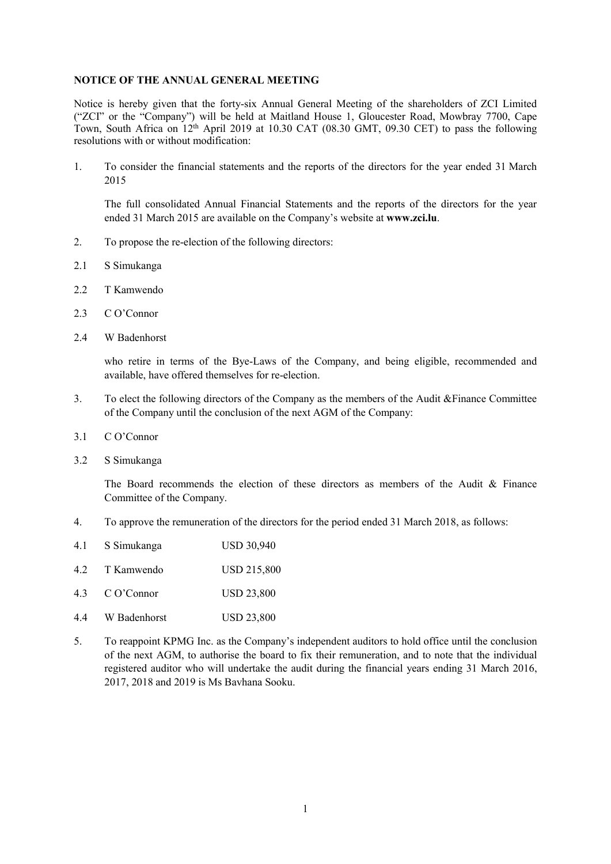## **NOTICE OF THE ANNUAL GENERAL MEETING**

Notice is hereby given that the forty-six Annual General Meeting of the shareholders of ZCI Limited ("ZCI" or the "Company") will be held at Maitland House 1, Gloucester Road, Mowbray 7700, Cape Town, South Africa on 12<sup>th</sup> April 2019 at 10.30 CAT (08.30 GMT, 09.30 CET) to pass the following resolutions with or without modification:

1. To consider the financial statements and the reports of the directors for the year ended 31 March 2015

The full consolidated Annual Financial Statements and the reports of the directors for the year ended 31 March 2015 are available on the Company's website at **www.zci.lu**.

- 2. To propose the re-election of the following directors:
- 2.1 S Simukanga
- 2.2 T Kamwendo
- 2.3 C O'Connor
- 2.4 W Badenhorst

who retire in terms of the Bye-Laws of the Company, and being eligible, recommended and available, have offered themselves for re-election.

- 3. To elect the following directors of the Company as the members of the Audit &Finance Committee of the Company until the conclusion of the next AGM of the Company:
- 3.1 C O'Connor
- 3.2 S Simukanga

The Board recommends the election of these directors as members of the Audit & Finance Committee of the Company.

4. To approve the remuneration of the directors for the period ended 31 March 2018, as follows:

| 4.1 | S Simukanga | <b>USD 30,940</b>  |
|-----|-------------|--------------------|
| 42  | T Kamwendo  | <b>USD 215,800</b> |

- 4.3 C O'Connor USD 23,800
- 4.4 W Badenhorst USD 23,800
- 5. To reappoint KPMG Inc. as the Company's independent auditors to hold office until the conclusion of the next AGM, to authorise the board to fix their remuneration, and to note that the individual registered auditor who will undertake the audit during the financial years ending 31 March 2016, 2017, 2018 and 2019 is Ms Bavhana Sooku.